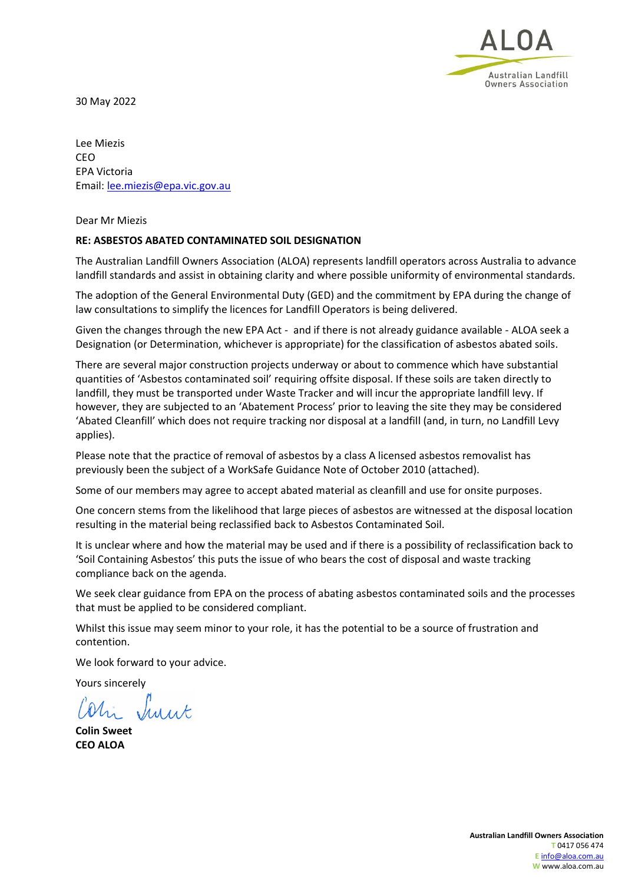

30 May 2022

Lee Miezis CEO EPA Victoria Email: [lee.miezis@epa.vic.gov.au](mailto:lee.miezis@epa.vic.gov.au)

Dear Mr Miezis

#### **RE: ASBESTOS ABATED CONTAMINATED SOIL DESIGNATION**

The Australian Landfill Owners Association (ALOA) represents landfill operators across Australia to advance landfill standards and assist in obtaining clarity and where possible uniformity of environmental standards.

The adoption of the General Environmental Duty (GED) and the commitment by EPA during the change of law consultations to simplify the licences for Landfill Operators is being delivered.

Given the changes through the new EPA Act - and if there is not already guidance available - ALOA seek a Designation (or Determination, whichever is appropriate) for the classification of asbestos abated soils.

There are several major construction projects underway or about to commence which have substantial quantities of 'Asbestos contaminated soil' requiring offsite disposal. If these soils are taken directly to landfill, they must be transported under Waste Tracker and will incur the appropriate landfill levy. If however, they are subjected to an 'Abatement Process' prior to leaving the site they may be considered 'Abated Cleanfill' which does not require tracking nor disposal at a landfill (and, in turn, no Landfill Levy applies).

Please note that the practice of removal of asbestos by a class A licensed asbestos removalist has previously been the subject of a WorkSafe Guidance Note of October 2010 (attached).

Some of our members may agree to accept abated material as cleanfill and use for onsite purposes.

One concern stems from the likelihood that large pieces of asbestos are witnessed at the disposal location resulting in the material being reclassified back to Asbestos Contaminated Soil.

It is unclear where and how the material may be used and if there is a possibility of reclassification back to 'Soil Containing Asbestos' this puts the issue of who bears the cost of disposal and waste tracking compliance back on the agenda.

We seek clear guidance from EPA on the process of abating asbestos contaminated soils and the processes that must be applied to be considered compliant.

Whilst this issue may seem minor to your role, it has the potential to be a source of frustration and contention.

We look forward to your advice.

Yours sincerely

hi Surit

**Colin Sweet CEO ALOA**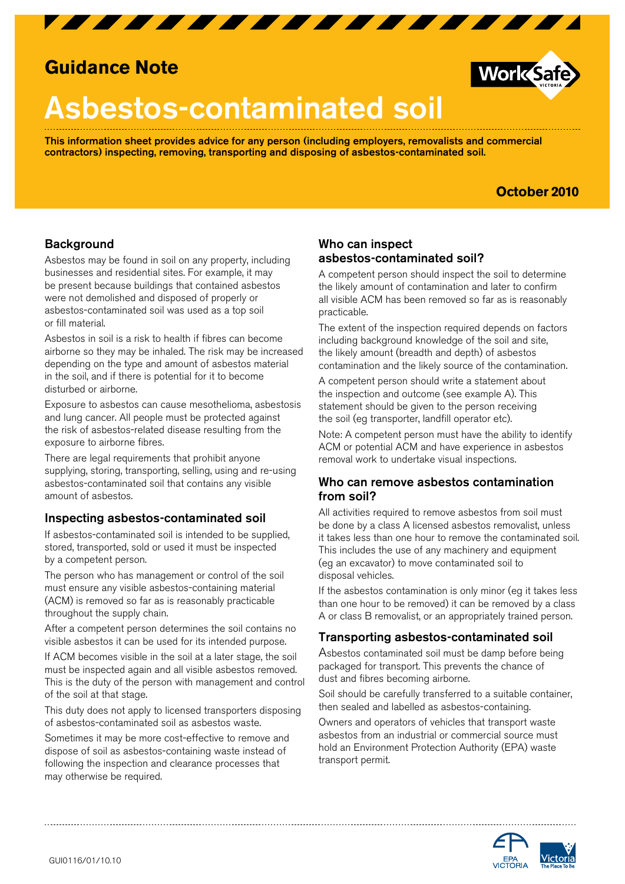

## **Guidance Note**

# Asbestos-contaminated soil

This information sheet provides advice for any person (including employers, removalists and commercial contractors) inspecting, removing, transporting and disposing of asbestos-contaminated soil.

### **October 2010**

**Work Safe** 

#### **Background**

Asbestos may be found in soil on any property, including businesses and residential sites. For example, it may be present because buildings that contained asbestos were not demolished and disposed of properly or asbestos-contaminated soil was used as a top soil or fill material.

Asbestos in soil is a risk to health if fibres can become airborne so they may be inhaled. The risk may be increased depending on the type and amount of asbestos material in the soil, and if there is potential for it to become disturbed or airborne.

Exposure to asbestos can cause mesothelioma, asbestosis and lung cancer. All people must be protected against the risk of asbestos-related disease resulting from the exposure to airborne fibres.

There are legal requirements that prohibit anyone supplying, storing, transporting, selling, using and re-using asbestos-contaminated soil that contains any visible amount of asbestos.

#### Inspecting asbestos-contaminated soil

If asbestos-contaminated soil is intended to be supplied, stored, transported, sold or used it must be inspected by a competent person.

The person who has management or control of the soil must ensure any visible asbestos-containing material (ACM) is removed so far as is reasonably practicable throughout the supply chain.

After a competent person determines the soil contains no visible asbestos it can be used for its intended purpose.

If ACM becomes visible in the soil at a later stage, the soil must be inspected again and all visible asbestos removed. This is the duty of the person with management and control of the soil at that stage.

This duty does not apply to licensed transporters disposing of asbestos-contaminated soil as asbestos waste.

Sometimes it may be more cost-effective to remove and dispose of soil as asbestos-containing waste instead of following the inspection and clearance processes that may otherwise be required.

#### Who can inspect asbestos-contaminated soil?

A competent person should inspect the soil to determine the likely amount of contamination and later to confirm all visible ACM has been removed so far as is reasonably practicable.

The extent of the inspection required depends on factors including background knowledge of the soil and site, the likely amount (breadth and depth) of asbestos contamination and the likely source of the contamination.

A competent person should write a statement about the inspection and outcome (see example A). This statement should be given to the person receiving the soil (eg transporter, landfill operator etc).

Note: A competent person must have the ability to identify ACM or potential ACM and have experience in asbestos removal work to undertake visual inspections.

#### Who can remove asbestos contamination from soil?

All activities required to remove asbestos from soil must be done by a class A licensed asbestos removalist, unless it takes less than one hour to remove the contaminated soil. This includes the use of any machinery and equipment (eg an excavator) to move contaminated soil to disposal vehicles.

If the asbestos contamination is only minor (eg it takes less than one hour to be removed) it can be removed by a class A or class B removalist, or an appropriately trained person.

#### Transporting asbestos-contaminated soil

Asbestos contaminated soil must be damp before being packaged for transport. This prevents the chance of dust and fibres becoming airborne.

Soil should be carefully transferred to a suitable container, then sealed and labelled as asbestos-containing.

Owners and operators of vehicles that transport waste asbestos from an industrial or commercial source must hold an Environment Protection Authority (EPA) waste transport permit.

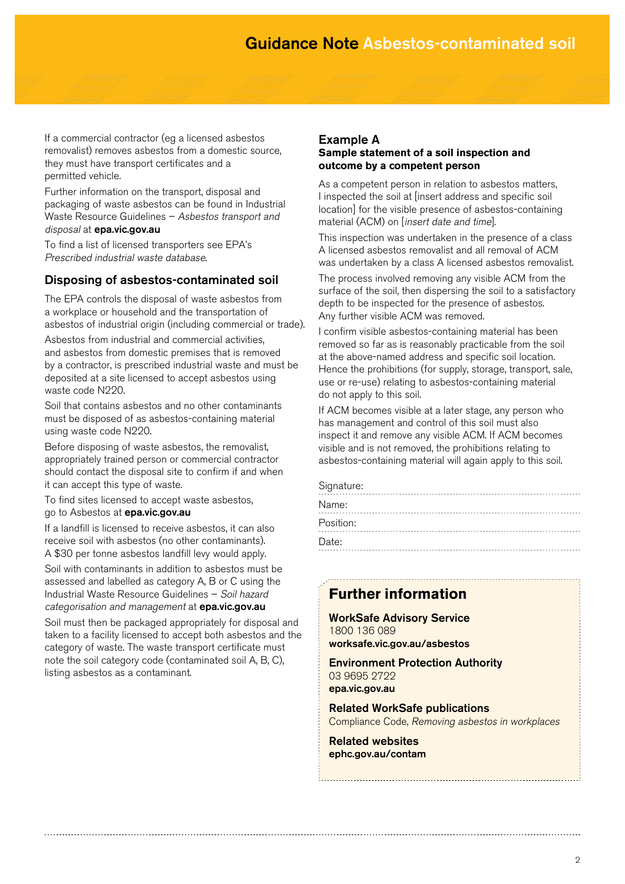If a commercial contractor (eg a licensed asbestos removalist) removes asbestos from a domestic source, they must have transport certificates and a permitted vehicle.

Further information on the transport, disposal and packaging of waste asbestos can be found in Industrial Waste Resource Guidelines – Asbestos transport and disposal at **epa.vic.gov.au** 

To find a list of licensed transporters see EPA's Prescribed industrial waste database.

#### Disposing of asbestos-contaminated soil

The EPA controls the disposal of waste asbestos from a workplace or household and the transportation of asbestos of industrial origin (including commercial or trade).

Asbestos from industrial and commercial activities, and asbestos from domestic premises that is removed by a contractor, is prescribed industrial waste and must be deposited at a site licensed to accept asbestos using waste code N<sub>220</sub>

Soil that contains asbestos and no other contaminants must be disposed of as asbestos-containing material using waste code N220.

Before disposing of waste asbestos, the removalist, appropriately trained person or commercial contractor should contact the disposal site to confirm if and when it can accept this type of waste.

To find sites licensed to accept waste asbestos, go to Asbestos at epa.vic.gov.au

If a landfill is licensed to receive asbestos, it can also receive soil with asbestos (no other contaminants). A \$30 per tonne asbestos landfill levy would apply.

Soil with contaminants in addition to asbestos must be assessed and labelled as category A, B or C using the Industrial Waste Resource Guidelines – Soil hazard categorisation and management at **epa.vic.gov.au** 

Soil must then be packaged appropriately for disposal and taken to a facility licensed to accept both asbestos and the category of waste. The waste transport certificate must note the soil category code (contaminated soil A, B, C), listing asbestos as a contaminant.

#### Example A **Sample statement of a soil inspection and outcome by a competent person**

As a competent person in relation to asbestos matters, I inspected the soil at [insert address and specific soil location] for the visible presence of asbestos-containing material (ACM) on [insert date and time].

This inspection was undertaken in the presence of a class A licensed asbestos removalist and all removal of ACM was undertaken by a class A licensed asbestos removalist.

The process involved removing any visible ACM from the surface of the soil, then dispersing the soil to a satisfactory depth to be inspected for the presence of asbestos. Any further visible ACM was removed.

I confirm visible asbestos-containing material has been removed so far as is reasonably practicable from the soil at the above-named address and specific soil location. Hence the prohibitions (for supply, storage, transport, sale, use or re-use) relating to asbestos-containing material do not apply to this soil.

If ACM becomes visible at a later stage, any person who has management and control of this soil must also inspect it and remove any visible ACM. If ACM becomes visible and is not removed, the prohibitions relating to asbestos-containing material will again apply to this soil.

| Signature: |  |  |  |  |  |  |  |  |  |  |  |
|------------|--|--|--|--|--|--|--|--|--|--|--|
| Name:      |  |  |  |  |  |  |  |  |  |  |  |
| Position:  |  |  |  |  |  |  |  |  |  |  |  |
| Date:      |  |  |  |  |  |  |  |  |  |  |  |

## **Further information**

WorkSafe Advisory Service 1800 136 089 worksafe.vic.gov.au/asbestos

Environment Protection Authority 03 9695 2722 epa.vic.gov.au

Related WorkSafe publications Compliance Code, Removing asbestos in workplaces

Related websites ephc.gov.au/contam